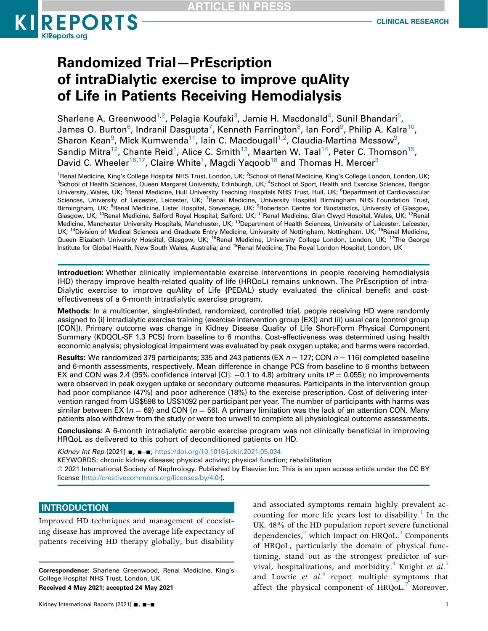

# Randomized Trial—PrEscription of intraDialytic exercise to improve quAlity of Life in Patients Receiving Hemodialysis

Sharlene A. Greenwood $^{1,2}$ , Pelagia Koufaki $^3$ , Jamie H. Macdonald $^4$ , Sunil Bhandari $^5$  $^5$ , James O. Burton<sup>6</sup>, Indranil Dasgupta<sup>[7](#page-0-3)</sup>, Kenneth Farrington<sup>[8](#page-0-4)</sup>, Ian Ford<sup>[9](#page-0-4)</sup>, Philip A. Kalra<sup>[10](#page-0-5)</sup>, Sharon Kean $^9$ , Mick Kumwenda $^{11}$ , Iain C. Macdougall $^{1,2}$ , Claudia-Martina Messow $^9$ , Sandip Mitra<sup>12</sup>, Chante Reid<sup>1</sup>, Alice C. Smith<sup>13</sup>, Maarten W. Taal<sup>14</sup>, Peter C. Thomson<sup>15</sup>, David C. Wheeler $^{16,17}$  $^{16,17}$  $^{16,17}$ , Claire White $^1$ , Magdi Yaqoob $^{18}$  and Thomas H. Mercer $^3$  $^3$ 

<span id="page-0-6"></span><span id="page-0-5"></span><span id="page-0-4"></span><span id="page-0-3"></span><span id="page-0-2"></span><span id="page-0-1"></span><span id="page-0-0"></span><sup>1</sup>Renal Medicine, King's College Hospital NHS Trust, London, UK; <sup>2</sup>School of Renal Medicine, King's College London, London, UK;<br><sup>3</sup>School of Health Sciences, Queen Margaret University, Edinburgh, UK; <sup>4</sup>School of Sport, School of Health Sciences, Queen Margaret University, Edinburgh, UK; <sup>4</sup>School of Sport, Health and Exercise Sciences, Bangor University, Wales, UK; <sup>5</sup>Renal Medicine, Hull University Teaching Hospitals NHS Trust, Hull, UK; <sup>6</sup>Department of Cardiovascular Sciences, University of Leicester, Leicester, UK; <sup>7</sup>Renal Medicine, University Hospital Birmingham NHS Foundation Trust, Birmingham, UK; <sup>8</sup>Renal Medicine, Lister Hospital, Stevenage, UK; <sup>9</sup>Robertson Centre for Biostatistics, University of Glasgow, Glasgow, UK; <sup>10</sup>Renal Medicine, Salford Royal Hospital, Salford, UK; <sup>11</sup>Renal Medicine, Glan Clwyd Hospital, Wales, UK; <sup>12</sup>Renal Medicine, Manchester University Hospitals, Manchester, UK; <sup>13</sup>Department of Health Sciences, University of Leicester, Leicester, UK; <sup>14</sup>Division of Medical Sciences and Graduate Entry Medicine, University of Nottingham, Nottingham, UK; <sup>15</sup>Renal Medicine, Queen Elizabeth University Hospital, Glasgow, UK; <sup>16</sup>Renal Medicine, University College London, London, UK; <sup>17</sup>The George Institute for Global Health, New South Wales, Australia; and <sup>18</sup>Renal Medicine, The Royal London Hospital, London, UK

<span id="page-0-9"></span><span id="page-0-8"></span><span id="page-0-7"></span>Introduction: Whether clinically implementable exercise interventions in people receiving hemodialysis (HD) therapy improve health-related quality of life (HRQoL) remains unknown. The PrEscription of intra-Dialytic exercise to improve quAlity of Life (PEDAL) study evaluated the clinical benefit and costeffectiveness of a 6-month intradialytic exercise program.

Methods: In a multicenter, single-blinded, randomized, controlled trial, people receiving HD were randomly assigned to (i) intradialytic exercise training (exercise intervention group [EX]) and (ii) usual care (control group [CON]). Primary outcome was change in Kidney Disease Quality of Life Short-Form Physical Component Summary (KDQOL-SF 1.3 PCS) from baseline to 6 months. Cost-effectiveness was determined using health economic analysis; physiological impairment was evaluated by peak oxygen uptake; and harms were recorded.

**Results:** We randomized 379 participants; 335 and 243 patients (EX  $n = 127$ ; CON  $n = 116$ ) completed baseline and 6-month assessments, respectively. Mean difference in change PCS from baseline to 6 months between EX and CON was 2.4 (95% confidence interval [CI]:  $-0.1$  to 4.8) arbitrary units ( $P = 0.055$ ); no improvements were observed in peak oxygen uptake or secondary outcome measures. Participants in the intervention group had poor compliance (47%) and poor adherence (18%) to the exercise prescription. Cost of delivering intervention ranged from US\$598 to US\$1092 per participant per year. The number of participants with harms was similar between EX ( $n = 69$ ) and CON ( $n = 56$ ). A primary limitation was the lack of an attention CON. Many patients also withdrew from the study or were too unwell to complete all physiological outcome assessments.

Conclusions: A 6-month intradialytic aerobic exercise program was not clinically beneficial in improving HRQoL as delivered to this cohort of deconditioned patients on HD.

Kidney Int Rep (2021) ■, ■-■; <https://doi.org/10.1016/j.ekir.2021.05.034> KEYWORDS: chronic kidney disease; physical activity; physical function; rehabilitation  $@$  2021 International Society of Nephrology. Published by Elsevier Inc. This is an open access article under the CC BY license [\(http://creativecommons.org/licenses/by/4.0/\)](http://creativecommons.org/licenses/by/4.0/).

## **INTRODUCTION**

Improved HD techniques and management of coexisting disease has improved the average life expectancy of patients receiving HD therapy globally, but disability

Correspondence: Sharlene Greenwood, Renal Medicine, King's College Hospital NHS Trust, London, UK. Received 4 May 2021; accepted 24 May 2021

and associated symptoms remain highly prevalent ac-counting for more life years lost to disability.<sup>[1](#page-10-0)</sup> In the UK, 48% of the HD population report severe functional dependencies, $^2$  $^2$  which impact on HRQoL. $^3$  Components of HRQoL, particularly the domain of physical functioning, stand out as the strongest predictor of sur-vival, hospitalizations, and morbidity.<sup>[4](#page-10-3)</sup> Knight et  $al$ .<sup>[5](#page-10-4)</sup> and Lowrie et  $al.^6$  $al.^6$  report multiple symptoms that affect the physical component of HRQoL.<sup>[7](#page-10-6)</sup> Moreover,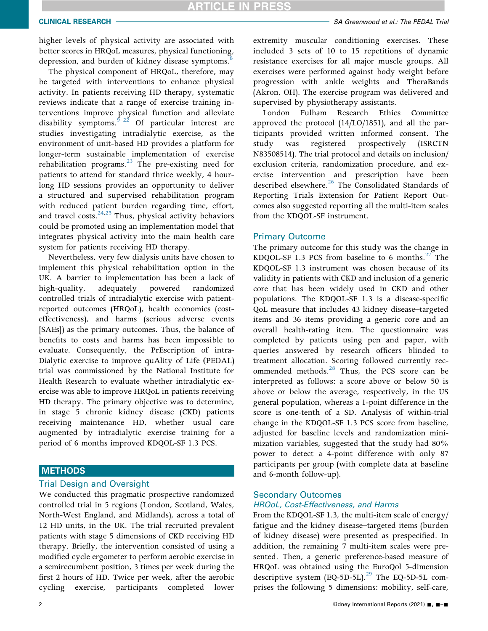higher levels of physical activity are associated with better scores in HRQoL measures, physical functioning, depression, and burden of kidney disease symptoms.<sup>8</sup>

The physical component of HRQoL, therefore, may be targeted with interventions to enhance physical activity. In patients receiving HD therapy, systematic reviews indicate that a range of exercise training interventions improve physical function and alleviate disability symptoms.  $\int_{0}^{\frac{1}{2}}$  Of particular interest are studies investigating intradialytic exercise, as the environment of unit-based HD provides a platform for longer-term sustainable implementation of exercise rehabilitation programs.[23](#page-11-0) The pre-existing need for patients to attend for standard thrice weekly, 4 hourlong HD sessions provides an opportunity to deliver a structured and supervised rehabilitation program with reduced patient burden regarding time, effort, and travel costs.<sup>24[,25](#page-11-2)</sup> Thus, physical activity behaviors could be promoted using an implementation model that integrates physical activity into the main health care system for patients receiving HD therapy.

Nevertheless, very few dialysis units have chosen to implement this physical rehabilitation option in the UK. A barrier to implementation has been a lack of high-quality, adequately powered randomized controlled trials of intradialytic exercise with patientreported outcomes (HRQoL), health economics (costeffectiveness), and harms (serious adverse events [SAEs]) as the primary outcomes. Thus, the balance of benefits to costs and harms has been impossible to evaluate. Consequently, the PrEscription of intra-Dialytic exercise to improve quAlity of Life (PEDAL) trial was commissioned by the National Institute for Health Research to evaluate whether intradialytic exercise was able to improve HRQoL in patients receiving HD therapy. The primary objective was to determine, in stage 5 chronic kidney disease (CKD) patients receiving maintenance HD, whether usual care augmented by intradialytic exercise training for a period of 6 months improved KDQOL-SF 1.3 PCS.

## **METHODS**

## Trial Design and Oversight

We conducted this pragmatic prospective randomized controlled trial in 5 regions (London, Scotland, Wales, North-West England, and Midlands), across a total of 12 HD units, in the UK. The trial recruited prevalent patients with stage 5 dimensions of CKD receiving HD therapy. Briefly, the intervention consisted of using a modified cycle ergometer to perform aerobic exercise in a semirecumbent position, 3 times per week during the first 2 hours of HD. Twice per week, after the aerobic cycling exercise, participants completed lower

extremity muscular conditioning exercises. These included 3 sets of 10 to 15 repetitions of dynamic resistance exercises for all major muscle groups. All exercises were performed against body weight before progression with ankle weights and TheraBands (Akron, OH). The exercise program was delivered and supervised by physiotherapy assistants.

London Fulham Research Ethics Committee approved the protocol (14/LO/1851), and all the participants provided written informed consent. The study was registered prospectively (ISRCTN N83508514). The trial protocol and details on inclusion/ exclusion criteria, randomization procedure, and exercise intervention and prescription have been described elsewhere.<sup>26</sup> The Consolidated Standards of Reporting Trials Extension for Patient Report Outcomes also suggested reporting all the multi-item scales from the KDQOL-SF instrument.

## Primary Outcome

The primary outcome for this study was the change in KDQOL-SF 1.3 PCS from baseline to 6 months. $27$  The KDQOL-SF 1.3 instrument was chosen because of its validity in patients with CKD and inclusion of a generic core that has been widely used in CKD and other populations. The KDQOL-SF 1.3 is a disease-specific QoL measure that includes 43 kidney disease–targeted items and 36 items providing a generic core and an overall health-rating item. The questionnaire was completed by patients using pen and paper, with queries answered by research officers blinded to treatment allocation. Scoring followed currently rec-ommended methods.<sup>[28](#page-11-5)</sup> Thus, the PCS score can be interpreted as follows: a score above or below 50 is above or below the average, respectively, in the US general population, whereas a 1-point difference in the score is one-tenth of a SD. Analysis of within-trial change in the KDQOL-SF 1.3 PCS score from baseline, adjusted for baseline levels and randomization minimization variables, suggested that the study had 80% power to detect a 4-point difference with only 87 participants per group (with complete data at baseline and 6-month follow-up).

## Secondary Outcomes HRQoL, Cost-Effectiveness, and Harms

From the KDQOL-SF 1.3, the multi-item scale of energy/ fatigue and the kidney disease–targeted items (burden of kidney disease) were presented as prespecified. In addition, the remaining 7 multi-item scales were presented. Then, a generic preference-based measure of HRQoL was obtained using the EuroQol 5-dimension descriptive system  $(EQ-5D-5L)$ .<sup>[29](#page-11-6)</sup> The EQ-5D-5L comprises the following 5 dimensions: mobility, self-care,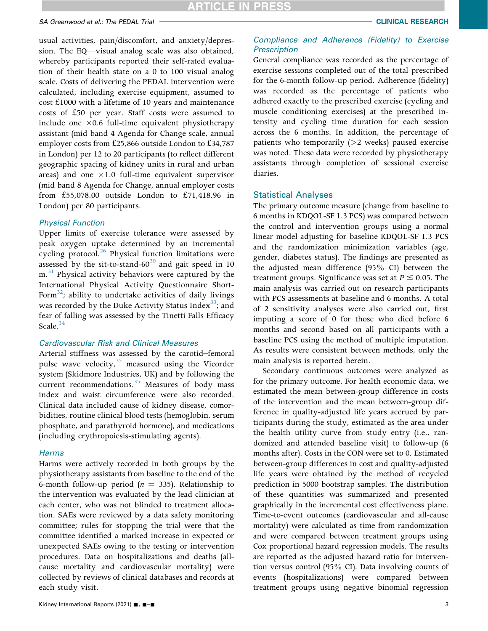usual activities, pain/discomfort, and anxiety/depression. The EQ—visual analog scale was also obtained, whereby participants reported their self-rated evaluation of their health state on a 0 to 100 visual analog scale. Costs of delivering the PEDAL intervention were calculated, including exercise equipment, assumed to cost £1000 with a lifetime of 10 years and maintenance costs of £50 per year. Staff costs were assumed to include one  $\times 0.6$  full-time equivalent physiotherapy assistant (mid band 4 Agenda for Change scale, annual employer costs from £25,866 outside London to £34,787 in London) per 12 to 20 participants (to reflect different geographic spacing of kidney units in rural and urban areas) and one  $\times 1.0$  full-time equivalent supervisor (mid band 8 Agenda for Change, annual employer costs from £55,078.00 outside London to £71,418.96 in London) per 80 participants.

## Physical Function

Upper limits of exercise tolerance were assessed by peak oxygen uptake determined by an incremental cycling protocol.<sup>26</sup> Physical function limitations were assessed by the sit-to-stand- $60^{30}$  $60^{30}$  $60^{30}$  and gait speed in 10  $m<sup>31</sup>$  $m<sup>31</sup>$  $m<sup>31</sup>$  Physical activity behaviors were captured by the International Physical Activity Questionnaire Short-Form<sup>32</sup>; ability to undertake activities of daily livings was recorded by the Duke Activity Status Index $33$ ; and fear of falling was assessed by the Tinetti Falls Efficacy Scale. $34$ 

## Cardiovascular Risk and Clinical Measures

Arterial stiffness was assessed by the carotid–femoral pulse wave velocity, $35$  measured using the Vicorder system (Skidmore Industries, UK) and by following the current recommendations. $35$  Measures of body mass index and waist circumference were also recorded. Clinical data included cause of kidney disease, comorbidities, routine clinical blood tests (hemoglobin, serum phosphate, and parathyroid hormone), and medications (including erythropoiesis-stimulating agents).

### Harms

Harms were actively recorded in both groups by the physiotherapy assistants from baseline to the end of the 6-month follow-up period ( $n = 335$ ). Relationship to the intervention was evaluated by the lead clinician at each center, who was not blinded to treatment allocation. SAEs were reviewed by a data safety monitoring committee; rules for stopping the trial were that the committee identified a marked increase in expected or unexpected SAEs owing to the testing or intervention procedures. Data on hospitalizations and deaths (allcause mortality and cardiovascular mortality) were collected by reviews of clinical databases and records at each study visit.

## Compliance and Adherence (Fidelity) to Exercise **Prescription**

General compliance was recorded as the percentage of exercise sessions completed out of the total prescribed for the 6-month follow-up period. Adherence (fidelity) was recorded as the percentage of patients who adhered exactly to the prescribed exercise (cycling and muscle conditioning exercises) at the prescribed intensity and cycling time duration for each session across the 6 months. In addition, the percentage of patients who temporarily  $(>2$  weeks) paused exercise was noted. These data were recorded by physiotherapy assistants through completion of sessional exercise diaries.

## Statistical Analyses

The primary outcome measure (change from baseline to 6 months in KDQOL-SF 1.3 PCS) was compared between the control and intervention groups using a normal linear model adjusting for baseline KDQOL-SF 1.3 PCS and the randomization minimization variables (age, gender, diabetes status). The findings are presented as the adjusted mean difference (95% CI) between the treatment groups. Significance was set at  $P \le 0.05$ . The main analysis was carried out on research participants with PCS assessments at baseline and 6 months. A total of 2 sensitivity analyses were also carried out, first imputing a score of 0 for those who died before 6 months and second based on all participants with a baseline PCS using the method of multiple imputation. As results were consistent between methods, only the main analysis is reported herein.

Secondary continuous outcomes were analyzed as for the primary outcome. For health economic data, we estimated the mean between-group difference in costs of the intervention and the mean between-group difference in quality-adjusted life years accrued by participants during the study, estimated as the area under the health utility curve from study entry (i.e., randomized and attended baseline visit) to follow-up (6 months after). Costs in the CON were set to 0. Estimated between-group differences in cost and quality-adjusted life years were obtained by the method of recycled prediction in 5000 bootstrap samples. The distribution of these quantities was summarized and presented graphically in the incremental cost effectiveness plane. Time-to-event outcomes (cardiovascular and all-cause mortality) were calculated as time from randomization and were compared between treatment groups using Cox proportional hazard regression models. The results are reported as the adjusted hazard ratio for intervention versus control (95% CI). Data involving counts of events (hospitalizations) were compared between treatment groups using negative binomial regression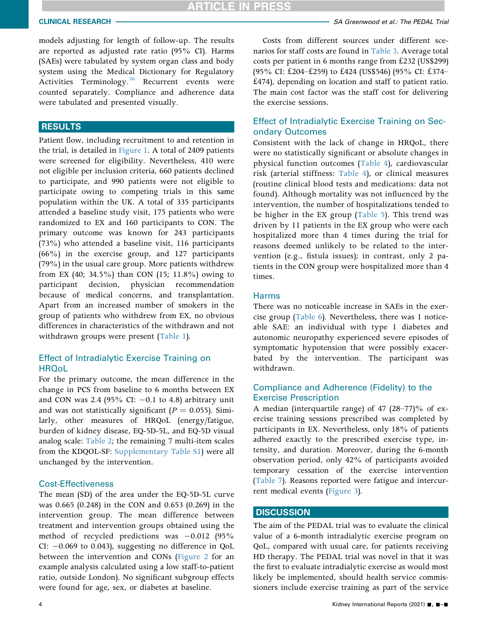models adjusting for length of follow-up. The results are reported as adjusted rate ratio (95% CI). Harms (SAEs) were tabulated by system organ class and body system using the Medical Dictionary for Regulatory Activities Terminology.<sup>[36](#page-11-13)</sup> Recurrent events were counted separately. Compliance and adherence data were tabulated and presented visually.

## **RESULTS**

Patient flow, including recruitment to and retention in the trial, is detailed in [Figure 1](#page-4-0). A total of 2409 patients were screened for eligibility. Nevertheless, 410 were not eligible per inclusion criteria, 660 patients declined to participate, and 990 patients were not eligible to participate owing to competing trials in this same population within the UK. A total of 335 participants attended a baseline study visit, 175 patients who were randomized to EX and 160 participants to CON. The primary outcome was known for 243 participants (73%) who attended a baseline visit, 116 participants (66%) in the exercise group, and 127 participants (79%) in the usual care group. More patients withdrew from EX (40; 34.5%) than CON (15; 11.8%) owing to participant decision, physician recommendation because of medical concerns, and transplantation. Apart from an increased number of smokers in the group of patients who withdrew from EX, no obvious differences in characteristics of the withdrawn and not withdrawn groups were present [\(Table 1\)](#page-5-0).

## Effect of Intradialytic Exercise Training on **HRQoL**

For the primary outcome, the mean difference in the change in PCS from baseline to 6 months between EX and CON was 2.4 (95% CI:  $-0.1$  to 4.8) arbitrary unit and was not statistically significant ( $P = 0.055$ ). Similarly, other measures of HRQoL (energy/fatigue, burden of kidney disease, EQ-5D-5L, and EQ-5D visual analog scale: [Table 2](#page-6-0); the remaining 7 multi-item scales from the KDQOL-SF: [Supplementary Table S1\)](#page-11-14) were all unchanged by the intervention.

### Cost-Effectiveness

The mean (SD) of the area under the EQ-5D-5L curve was 0.665 (0.248) in the CON and 0.653 (0.269) in the intervention group. The mean difference between treatment and intervention groups obtained using the method of recycled predictions was  $-0.012$  (95%) CI: -0.069 to 0.043), suggesting no difference in QoL between the intervention and CONs [\(Figure 2](#page-6-1) for an example analysis calculated using a low staff-to-patient ratio, outside London). No significant subgroup effects were found for age, sex, or diabetes at baseline.

Costs from different sources under different scenarios for staff costs are found in [Table 3.](#page-7-0) Average total costs per patient in 6 months range from £232 (US\$299) (95% CI: £204–£259) to £424 (US\$546) (95% CI: £374– £474), depending on location and staff to patient ratio. The main cost factor was the staff cost for delivering the exercise sessions.

## Effect of Intradialytic Exercise Training on Secondary Outcomes

Consistent with the lack of change in HRQoL, there were no statistically significant or absolute changes in physical function outcomes [\(Table 4\)](#page-7-1), cardiovascular risk (arterial stiffness: [Table 4\)](#page-7-1), or clinical measures (routine clinical blood tests and medications: data not found). Although mortality was not influenced by the intervention, the number of hospitalizations tended to be higher in the EX group ([Table 5\)](#page-8-0). This trend was driven by 11 patients in the EX group who were each hospitalized more than 4 times during the trial for reasons deemed unlikely to be related to the intervention (e.g., fistula issues); in contrast, only 2 patients in the CON group were hospitalized more than 4 times.

## Harms

There was no noticeable increase in SAEs in the exercise group ([Table 6](#page-8-1)). Nevertheless, there was 1 noticeable SAE: an individual with type 1 diabetes and autonomic neuropathy experienced severe episodes of symptomatic hypotension that were possibly exacerbated by the intervention. The participant was withdrawn.

## Compliance and Adherence (Fidelity) to the Exercise Prescription

A median (interquartile range) of 47 (28–77)% of exercise training sessions prescribed was completed by participants in EX. Nevertheless, only 18% of patients adhered exactly to the prescribed exercise type, intensity, and duration. Moreover, during the 6-month observation period, only 42% of participants avoided temporary cessation of the exercise intervention ([Table 7](#page-8-2)). Reasons reported were fatigue and intercurrent medical events [\(Figure 3](#page-9-0)).

## **DISCUSSION**

The aim of the PEDAL trial was to evaluate the clinical value of a 6-month intradialytic exercise program on QoL, compared with usual care, for patients receiving HD therapy. The PEDAL trial was novel in that it was the first to evaluate intradialytic exercise as would most likely be implemented, should health service commissioners include exercise training as part of the service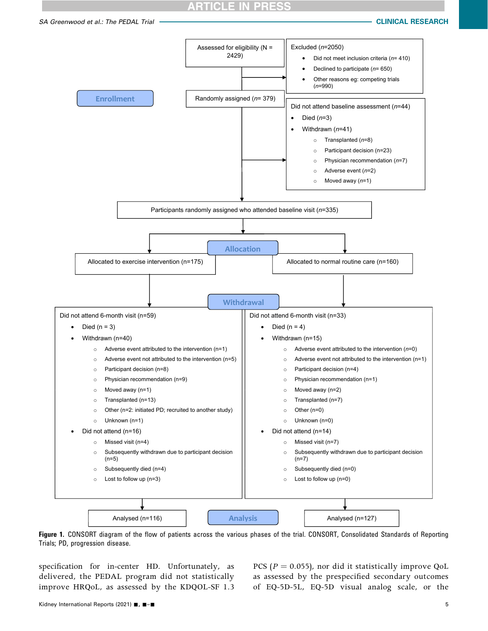## ARTICLE IN PRE

<span id="page-4-0"></span>

Figure 1. CONSORT diagram of the flow of patients across the various phases of the trial. CONSORT, Consolidated Standards of Reporting Trials; PD, progression disease.

specification for in-center HD. Unfortunately, as delivered, the PEDAL program did not statistically improve HRQoL, as assessed by the KDQOL-SF 1.3

PCS ( $P = 0.055$ ), nor did it statistically improve QoL as assessed by the prespecified secondary outcomes of EQ-5D-5L, EQ-5D visual analog scale, or the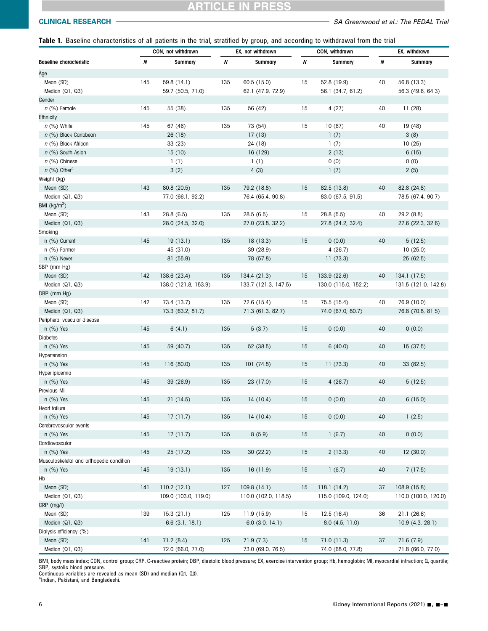<span id="page-5-0"></span>Table 1. Baseline characteristics of all patients in the trial, stratified by group, and according to withdrawal from the trial

|                                                | CON, not withdrawn |                      | EX, not withdrawn |                      |          | CON, withdrawn       | EX, withdrawn |                      |  |
|------------------------------------------------|--------------------|----------------------|-------------------|----------------------|----------|----------------------|---------------|----------------------|--|
| <b>Baseline characteristic</b>                 | N                  | Summary              | N                 | Summary              | $\pmb N$ | Summary              | N             | Summary              |  |
| Age                                            |                    |                      |                   |                      |          |                      |               |                      |  |
| Mean (SD)                                      | 145                | 59.8 (14.1)          | 135               | 60.5 (15.0)          | 15       | 52.8 (19.9)          | 40            | 56.8 (13.3)          |  |
| Median (Q1, Q3)                                |                    | 59.7 (50.5, 71.0)    |                   | 62.1 (47.9, 72.9)    |          | 56.1 (34.7, 61.2)    |               | 56.3 (49.6, 64.3)    |  |
| Gender                                         |                    |                      |                   |                      |          |                      |               |                      |  |
| n (%) Female                                   | 145                | 55 (38)              | 135               | 56 (42)              | 15       | 4(27)                | 40            | 11(28)               |  |
| Ethnicity                                      |                    |                      |                   |                      |          |                      |               |                      |  |
| $n$ (%) White                                  | 145                | 67 (46)              | 135               | 73 (54)              | 15       | 10(67)               | 40            | 19(48)               |  |
| n (%) Black Caribbean                          |                    | 26 (18)              |                   | 17(13)               |          | 1(7)                 |               | 3(8)                 |  |
| n (%) Black African                            |                    | 33 (23)              |                   | 24 (18)              |          | 1(7)                 |               | 10(25)               |  |
| n (%) South Asian                              |                    | 15(10)               |                   | 16 (129)             |          | 2(13)                |               | 6(15)                |  |
| $n$ (%) Chinese                                |                    | 1(1)                 |                   | 1(1)                 |          | 0(0)                 |               | 0(0)                 |  |
| $n$ (%) Other <sup>a</sup>                     |                    | 3(2)                 |                   | 4(3)                 |          | 1(7)                 |               | 2(5)                 |  |
| Weight (kg)                                    |                    |                      |                   |                      |          |                      |               |                      |  |
| Mean (SD)                                      | 143                | 80.8 (20.5)          | 135               | 79.2 (18.8)          | 15       | 82.5 (13.8)          | 40            | 82.8 (24.8)          |  |
| Median (Q1, Q3)                                |                    | 77.0 (66.1, 92.2)    |                   | 76.4 (65.4, 90.8)    |          | 83.0 (67.5, 91.5)    |               | 78.5 (67.4, 90.7)    |  |
| BMI (kg/m <sup>2</sup> )                       |                    |                      |                   |                      |          |                      |               |                      |  |
| Mean (SD)                                      | 143                | 28.8(6.5)            | 135               | 28.5(6.5)            | 15       | 28.8(5.5)            | 40            | 29.2 (8.8)           |  |
| Median (Q1, Q3)                                |                    | 28.0 (24.5, 32.0)    |                   | 27.0 (23.8, 32.2)    |          | 27.8 (24.2, 32.4)    |               | 27.6 (22.3, 32.6)    |  |
| Smoking                                        |                    |                      |                   |                      |          |                      |               |                      |  |
| n (%) Current                                  | 145                | 19(13.1)             | 135               | 18(13.3)             | 15       | 0(0.0)               | 40            | 5(12.5)              |  |
| n (%) Former                                   |                    | 45 (31.0)            |                   | 39 (28.9)            |          | 4(26.7)              |               | 10(25.0)             |  |
| n (%) Never                                    |                    | 81 (55.9)            |                   | 78 (57.8)            |          | 11(73.3)             |               | 25(62.5)             |  |
| SBP (mm Hg)                                    |                    |                      |                   |                      |          |                      |               |                      |  |
| Mean (SD)                                      | 142                | 138.6 (23.4)         | 135               | 134.4(21.3)          | 15       | 133.9 (22.6)         | 40            | 134.1(17.5)          |  |
| Median (Q1, Q3)                                |                    | 138.0 (121.8, 153.9) |                   | 133.7 (121.3, 147.5) |          | 130.0 (115.0, 152.2) |               | 131.5 (121.0, 142.8) |  |
| DBP (mm Hg)                                    |                    |                      |                   |                      |          |                      |               |                      |  |
| Mean (SD)                                      | 142                | 73.4 (13.7)          | 135               | 72.6 (15.4)          | 15       | 75.5 (15.4)          | 40            | 76.9 (10.0)          |  |
|                                                |                    |                      |                   |                      |          |                      |               |                      |  |
| Median (Q1, Q3)<br>Peripheral vascular disease |                    | 73.3 (63.2, 81.7)    |                   | 71.3 (61.3, 82.7)    |          | 74.0 (67.0, 80.7)    |               | 76.8 (70.8, 81.5)    |  |
|                                                | 145                |                      |                   |                      |          |                      | 40            |                      |  |
| $n$ (%) Yes                                    |                    | 6(4.1)               | 135               | 5(3.7)               | 15       | 0(0.0)               |               | 0(0.0)               |  |
| Diabetes                                       | 145                |                      |                   |                      |          |                      |               |                      |  |
| n (%) Yes                                      |                    | 59 (40.7)            | 135               | 52 (38.5)            | 15       | 6(40.0)              | 40            | 15(37.5)             |  |
| Hypertension                                   |                    |                      |                   |                      |          |                      |               |                      |  |
| $n$ (%) Yes                                    | 145                | 116(80.0)            | 135               | 101(74.8)            | 15       | 11(73.3)             | 40            | 33(82.5)             |  |
| Hyperlipidemia                                 | 145                |                      |                   |                      |          |                      |               |                      |  |
| $n$ (%) Yes                                    |                    | 39(26.9)             | 135               | 23 (17.0)            | 15       | 4(26.7)              | 40            | 5(12.5)              |  |
| Previous MI                                    |                    |                      |                   |                      |          |                      |               |                      |  |
| $n$ (%) Yes                                    | 145                | 21(14.5)             | 135               | 14(10.4)             | 15       | 0(0.0)               | 40            | 6(15.0)              |  |
| Heart failure                                  |                    |                      |                   |                      |          |                      |               |                      |  |
| $n$ (%) Yes                                    | 145                | 17(11.7)             | 135               | 14 (10.4)            | 15       | 0(0.0)               | 40            | 1(2.5)               |  |
| Cerebrovascular events                         |                    |                      |                   |                      |          |                      |               |                      |  |
| $n$ $(\%)$ Yes                                 | 145                | 17(11.7)             | 135               | 8(5.9)               | 15       | 1(6.7)               | 40            | 0(0.0)               |  |
| Cardiovascular                                 |                    |                      |                   |                      |          |                      |               |                      |  |
| $n$ (%) Yes                                    | 145                | 25 (17.2)            | 135               | 30 (22.2)            | 15       | 2(13.3)              | 40            | 12(30.0)             |  |
| Musculoskeletal and orthopedic condition       |                    |                      |                   |                      |          |                      |               |                      |  |
| $n$ $(\%)$ Yes                                 | 145                | 19(13.1)             | 135               | 16 (11.9)            | 15       | 1(6.7)               | 40            | 7(17.5)              |  |
| Hb                                             |                    |                      |                   |                      |          |                      |               |                      |  |
| Mean (SD)                                      | 141                | 110.2(12.1)          | 127               | 109.8 (14.1)         | 15       | 118.1(14.2)          | 37            | 108.9 (15.8)         |  |
| Median (Q1, Q3)                                |                    | 109.0 (103.0, 119.0) |                   | 110.0 (102.0, 118.5) |          | 115.0 (109.0, 124.0) |               | 110.0 (100.0, 120.0) |  |
| CRP (mg/l)                                     |                    |                      |                   |                      |          |                      |               |                      |  |
| Mean (SD)                                      | 139                | 15.3(21.1)           | 125               | 11.9 (15.9)          | 15       | 12.5(16.4)           | 36            | 21.1(26.6)           |  |
| Median (Q1, Q3)                                |                    | 6.6(3.1, 18.1)       |                   | $6.0$ (3.0, 14.1)    |          | 8.0(4.5, 11.0)       |               | 10.9 (4.3, 28.1)     |  |
| Dialysis efficiency (%)                        |                    |                      |                   |                      |          |                      |               |                      |  |
| Mean (SD)                                      | 141                | 71.2(8.4)            | 125               | 71.9(7.3)            | 15       | 71.0(11.3)           | 37            | 71.6(7.9)            |  |
| Median (Q1, Q3)                                |                    | 72.0 (66.0, 77.0)    |                   | 73.0 (69.0, 76.5)    |          | 74.0 (68.0, 77.8)    |               | 71.8 (66.0, 77.0)    |  |

BMI, body mass index; CON, control group; CRP, C-reactive protein; DBP, diastolic blood pressure; EX, exercise intervention group; Hb, hemoglobin; MI, myocardial infraction; Q, quartile; SBP, systolic blood pressure.

<span id="page-5-1"></span>Continuous variables are revealed as mean (SD) and median (Q1, Q3). a Indian, Pakistani, and Bangladeshi.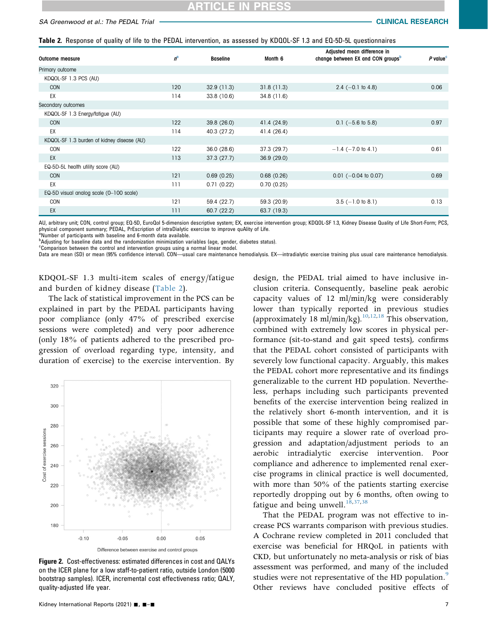<span id="page-6-0"></span>Table 2. Response of quality of life to the PEDAL intervention, as assessed by KDQOL-SF 1.3 and EQ-5D-5L questionnaires

| Outcome measure                            | $n^{\alpha}$ | <b>Baseline</b> | Month <sub>6</sub> | Adjusted mean difference in<br>change between EX and CON groups <sup>b</sup> | $P$ value <sup>c</sup> |
|--------------------------------------------|--------------|-----------------|--------------------|------------------------------------------------------------------------------|------------------------|
| Primary outcome                            |              |                 |                    |                                                                              |                        |
| KDQOL-SF 1.3 PCS (AU)                      |              |                 |                    |                                                                              |                        |
| <b>CON</b>                                 | 120          | 32.9(11.3)      | 31.8(11.3)         | 2.4 $(-0.1$ to 4.8)                                                          | 0.06                   |
| EX                                         | 114          | 33.8 (10.6)     | 34.8(11.6)         |                                                                              |                        |
| Secondary outcomes                         |              |                 |                    |                                                                              |                        |
| KDQOL-SF 1.3 Energy/fatigue (AU)           |              |                 |                    |                                                                              |                        |
| <b>CON</b>                                 | 122          | 39.8 (26.0)     | 41.4 (24.9)        | $0.1$ (-5.6 to 5.8)                                                          | 0.97                   |
| EX                                         | 114          | 40.3 (27.2)     | 41.4 (26.4)        |                                                                              |                        |
| KDQOL-SF 1.3 burden of kidney disease (AU) |              |                 |                    |                                                                              |                        |
| CON                                        | 122          | 36.0(28.6)      | 37.3(29.7)         | $-1.4$ ( $-7.0$ to 4.1)                                                      | 0.61                   |
| EX                                         | 113          | 37.3(27.7)      | 36.9(29.0)         |                                                                              |                        |
| EQ-5D-5L health utility score (AU)         |              |                 |                    |                                                                              |                        |
| <b>CON</b>                                 | 121          | 0.69(0.25)      | 0.68(0.26)         | $0.01$ (-0.04 to 0.07)                                                       | 0.69                   |
| EX                                         | 111          | 0.71(0.22)      | 0.70(0.25)         |                                                                              |                        |
| EQ-5D visual analog scale (0-100 scale)    |              |                 |                    |                                                                              |                        |
| <b>CON</b>                                 | 121          | 59.4 (22.7)     | 59.3 (20.9)        | $3.5$ (-1.0 to 8.1)                                                          | 0.13                   |
| EX                                         | 111          | 60.7(22.2)      | 63.7 (19.3)        |                                                                              |                        |

AU, arbitrary unit; CON, control group; EQ-5D, EuroQol 5-dimension descriptive system; EX, exercise intervention group; KDQOL-SF 1.3, Kidney Disease Quality of Life Short-Form; PCS, physical component summary; PEDAL, PrEscription of intraDialytic exercise to improve quAlity of Life.<br><sup>a</sup>Number of participants with baseline and 6-month data available.

<span id="page-6-3"></span><span id="page-6-2"></span>

<sup>b</sup>Adjusting for baseline data and the randomization minimization variables (age, gender, diabetes status).

<span id="page-6-4"></span><sup>c</sup>Comparison between the control and intervention groups using a normal linear model.

Data are mean (SD) or mean (95% confidence interval). CON—usual care maintenance hemodialysis. EX—intradialytic exercise training plus usual care maintenance hemodialysis.

KDQOL-SF 1.3 multi-item scales of energy/fatigue and burden of kidney disease ([Table 2](#page-6-0)).

The lack of statistical improvement in the PCS can be explained in part by the PEDAL participants having poor compliance (only 47% of prescribed exercise sessions were completed) and very poor adherence (only 18% of patients adhered to the prescribed progression of overload regarding type, intensity, and duration of exercise) to the exercise intervention. By

<span id="page-6-1"></span>

Figure 2. Cost-effectiveness: estimated differences in cost and QALYs on the ICER plane for a low staff-to-patient ratio, outside London (5000 bootstrap samples). ICER, incremental cost effectiveness ratio; QALY, quality-adjusted life year.

design, the PEDAL trial aimed to have inclusive inclusion criteria. Consequently, baseline peak aerobic capacity values of 12 ml/min/kg were considerably lower than typically reported in previous studies (approximately 18 ml/min/kg).<sup>[10](#page-10-8)[,12](#page-10-9)[,18](#page-10-10)</sup> This observation, combined with extremely low scores in physical performance (sit-to-stand and gait speed tests), confirms that the PEDAL cohort consisted of participants with severely low functional capacity. Arguably, this makes the PEDAL cohort more representative and its findings generalizable to the current HD population. Nevertheless, perhaps including such participants prevented benefits of the exercise intervention being realized in the relatively short 6-month intervention, and it is possible that some of these highly compromised participants may require a slower rate of overload progression and adaptation/adjustment periods to an aerobic intradialytic exercise intervention. Poor compliance and adherence to implemented renal exercise programs in clinical practice is well documented, with more than 50% of the patients starting exercise reportedly dropping out by 6 months, often owing to fatigue and being unwell. $^{18,37,38}$  $^{18,37,38}$  $^{18,37,38}$  $^{18,37,38}$  $^{18,37,38}$ 

That the PEDAL program was not effective to increase PCS warrants comparison with previous studies. A Cochrane review completed in 2011 concluded that exercise was beneficial for HRQoL in patients with CKD, but unfortunately no meta-analysis or risk of bias assessment was performed, and many of the included studies were not representative of the HD population.<sup>[9](#page-10-11)</sup> Other reviews have concluded positive effects of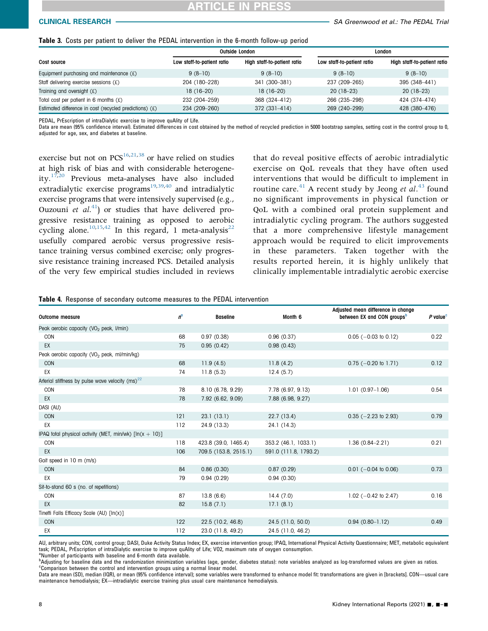<span id="page-7-0"></span>

|  |  |  |  | <b>Table 3.</b> Costs per patient to deliver the PEDAL intervention in the 6-month follow-up period |  |  |  |
|--|--|--|--|-----------------------------------------------------------------------------------------------------|--|--|--|
|  |  |  |  |                                                                                                     |  |  |  |

|                                                           |                            | <b>Outside London</b>       | London                     |                             |  |
|-----------------------------------------------------------|----------------------------|-----------------------------|----------------------------|-----------------------------|--|
| Cost source                                               | Low staff-to-patient ratio | High staff-to-patient ratio | Low staff-to-patient ratio | High staff-to-patient ratio |  |
| Equipment purchasing and maintenance $(f)$                | $9(8-10)$                  | $9(8-10)$                   | $9(8-10)$                  | $9(8-10)$                   |  |
| Staff delivering exercise sessions $(f)$                  | 204 (180-228)              | 341 (300-381)               | 237 (209-265)              | 395 (348-441)               |  |
| Training and oversight $(E)$                              | $18(16-20)$                | $18(16-20)$                 | $20(18-23)$                | $20(18-23)$                 |  |
| Total cost per patient in 6 months $(f)$                  | 232 (204-259)              | 368 (324-412)               | 266 (235-298)              | 424 (374-474)               |  |
| Estimated difference in cost (recycled predictions) $(f)$ | 234 (209-260)              | $372(331 - 414)$            | 269 (240-299)              | 428 (380-476)               |  |

PEDAL, PrEscription of intraDialytic exercise to improve quAlity of Life.

Data are mean (95% confidence interval). Estimated differences in cost obtained by the method of recycled prediction in 5000 bootstrap samples, setting cost in the control group to 0, adjusted for age, sex, and diabetes at baseline.

exercise but not on  $PCS^{16,21,38}$  $PCS^{16,21,38}$  $PCS^{16,21,38}$  $PCS^{16,21,38}$  $PCS^{16,21,38}$  or have relied on studies at high risk of bias and with considerable heterogeneity. $17,20$  $17,20$  Previous meta-analyses have also included extradialytic exercise programs<sup>19,[39](#page-11-17),[40](#page-11-18)</sup> and intradialytic exercise programs that were intensively supervised (e.g., Ouzouni et  $al^{(4)}$  or studies that have delivered progressive resistance training as opposed to aerobic cycling alone.<sup>[10](#page-10-8)[,15,](#page-10-17)[42](#page-11-20)</sup> In this regard, 1 meta-analysis<sup>22</sup> usefully compared aerobic versus progressive resistance training versus combined exercise; only progressive resistance training increased PCS. Detailed analysis of the very few empirical studies included in reviews

that do reveal positive effects of aerobic intradialytic exercise on QoL reveals that they have often used interventions that would be difficult to implement in routine care.<sup>[41](#page-11-19)</sup> A recent study by Jeong et  $al.^{43}$  $al.^{43}$  $al.^{43}$  found no significant improvements in physical function or QoL with a combined oral protein supplement and intradialytic cycling program. The authors suggested that a more comprehensive lifestyle management approach would be required to elicit improvements in these parameters. Taken together with the results reported herein, it is highly unlikely that clinically implementable intradialytic aerobic exercise

<span id="page-7-1"></span>

|  | Table 4. Response of secondary outcome measures to the PEDAL intervention |  |  |  |
|--|---------------------------------------------------------------------------|--|--|--|
|  |                                                                           |  |  |  |

| <b>Outcome measure</b>                                    | $n^{\alpha}$ | <b>Baseline</b>       | Month <sub>6</sub>    | Adjusted mean difference in change<br>between EX and CON groups <sup>b</sup> | $P$ value <sup>c</sup> |
|-----------------------------------------------------------|--------------|-----------------------|-----------------------|------------------------------------------------------------------------------|------------------------|
| Peak aerobic capacity (VO <sub>2</sub> peak, I/min)       |              |                       |                       |                                                                              |                        |
| CON                                                       | 68           | 0.97(0.38)            | 0.96(0.37)            | $0.05$ (-0.03 to 0.12)                                                       | 0.22                   |
| EX                                                        | 75           | 0.95(0.42)            | 0.98(0.43)            |                                                                              |                        |
| Peak aerobic capacity (VO <sub>2</sub> peak, ml/min/kg)   |              |                       |                       |                                                                              |                        |
| CON                                                       | 68           | 11.9(4.5)             | 11.8(4.2)             | $0.75$ (-0.20 to 1.71)                                                       | 0.12                   |
| EX                                                        | 74           | 11.8(5.3)             | 12.4(5.7)             |                                                                              |                        |
| Arterial stiffness by pulse wave velocity $(ms)^{22}$     |              |                       |                       |                                                                              |                        |
| CON                                                       | 78           | 8.10 (6.78, 9.29)     | 7.78 (6.97, 9.13)     | $1.01(0.97 - 1.06)$                                                          | 0.54                   |
| EX                                                        | 78           | 7.92 (6.62, 9.09)     | 7.88 (6.98, 9.27)     |                                                                              |                        |
| DASI (AU)                                                 |              |                       |                       |                                                                              |                        |
| <b>CON</b>                                                | 121          | 23.1(13.1)            | 22.7 (13.4)           | $0.35$ (-2.23 to 2.93)                                                       | 0.79                   |
| EX                                                        | 112          | 24.9 (13.3)           | 24.1 (14.3)           |                                                                              |                        |
| IPAQ total physical activity (MET, min/wk) $[ln(x + 10)]$ |              |                       |                       |                                                                              |                        |
| CON                                                       | 118          | 423.8 (39.0, 1465.4)  | 353.2 (46.1, 1033.1)  | $1.36(0.84 - 2.21)$                                                          | 0.21                   |
| EX                                                        | 106          | 709.5 (153.8, 2515.1) | 591.0 (111.8, 1793.2) |                                                                              |                        |
| Gait speed in 10 m (m/s)                                  |              |                       |                       |                                                                              |                        |
| <b>CON</b>                                                | 84           | 0.86(0.30)            | 0.87(0.29)            | $0.01$ (-0.04 to 0.06)                                                       | 0.73                   |
| EX                                                        | 79           | 0.94(0.29)            | 0.94(0.30)            |                                                                              |                        |
| Sit-to-stand 60 s (no. of repetitions)                    |              |                       |                       |                                                                              |                        |
| CON                                                       | 87           | 13.8(6.6)             | 14.4(7.0)             | 1.02 $(-0.42 \text{ to } 2.47)$                                              | 0.16                   |
| EX                                                        | 82           | 15.8(7.1)             | 17.1(8.1)             |                                                                              |                        |
| Tinetti Falls Efficacy Scale (AU) [In(x)]                 |              |                       |                       |                                                                              |                        |
| <b>CON</b>                                                | 122          | 22.5 (10.2, 46.8)     | 24.5 (11.0, 50.0)     | $0.94(0.80 - 1.12)$                                                          | 0.49                   |
| EX                                                        | 112          | 23.0 (11.8, 49.2)     | 24.5 (11.0, 46.2)     |                                                                              |                        |

AU, arbitrary units; CON, control group; DASI, Duke Activity Status Index; EX, exercise intervention group; IPAQ, International Physical Activity Questionnaire; MET, metabolic equivalent task; PEDAL, PrEscription of intraDialytic exercise to improve quAlity of Life; VO2, maximum rate of oxygen consumption.

<span id="page-7-2"></span><sup>a</sup>Number of participants with baseline and 6-month data available.

<span id="page-7-4"></span><span id="page-7-3"></span>bAdjusting for baseline data and the randomization minimization variables (age, gender, diabetes status): note variables analyzed as log-transformed values are given as ratios.<br><sup>e</sup>Comparison between the control and interve  $\textdegree$ Comparison between the control and intervention groups using a normal linear model.

Data are mean (SD), median (IQR), or mean (95% confidence interval); some variables were transformed to enhance model fit: transformations are given in [brackets]. CON—usual care maintenance hemodialysis; EX—intradialytic exercise training plus usual care maintenance hemodialysis.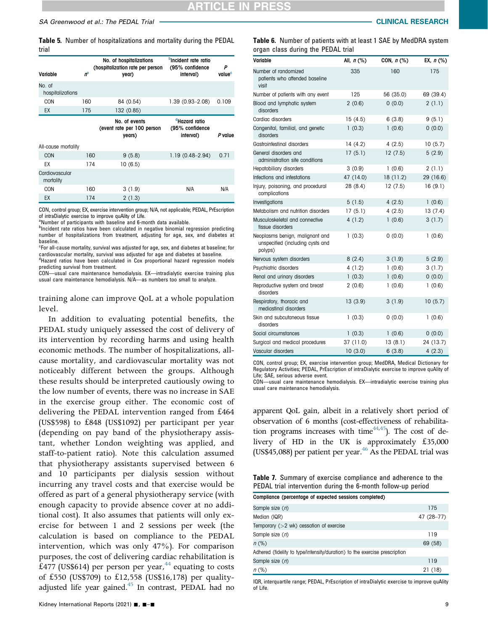<span id="page-8-0"></span>Table 5. Number of hospitalizations and mortality during the PEDAL trial

| Variable                    | 'n  | No. of hospitalizations<br>(hospitalization rate per person<br>year) | <b>DIncident rate ratio</b><br>(95% confidence<br>interval) | Р<br>value <sup>c</sup> |
|-----------------------------|-----|----------------------------------------------------------------------|-------------------------------------------------------------|-------------------------|
| No. of<br>hospitalizations  |     |                                                                      |                                                             |                         |
| CON                         | 160 | 84 (0.54)                                                            | $1.39(0.93 - 2.08)$                                         | 0.109                   |
| EX                          | 175 | 132 (0.85)                                                           |                                                             |                         |
| All-cause mortality         |     | No. of events<br>(event rate per 100 person<br>years)                | <sup>d</sup> Hazard ratio<br>(95% confidence<br>interval)   | P value                 |
| <b>CON</b>                  | 160 | 9(5.8)                                                               | $1.19(0.48 - 2.94)$                                         | 0.71                    |
| EX                          | 174 | 10 (6.5)                                                             |                                                             |                         |
| Cardiovascular<br>mortality |     |                                                                      |                                                             |                         |
| CON                         | 160 | 3(1.9)                                                               | N/A                                                         | N/A                     |
| <b>EX</b>                   | 174 | 2(1.3)                                                               |                                                             |                         |

CON, control group; EX, exercise intervention group; N/A, not applicable; PEDAL, PrEscription of intraDialytic exercise to improve quAlity of Life.

<span id="page-8-3"></span><sup>a</sup>Number of participants with baseline and 6-month data available.

<span id="page-8-4"></span>**<sup>b</sup>Incident rate ratios have been calculated in negative binomial regression predicting** number of hospitalizations from treatment, adjusting for age, sex, and diabetes at baseline.

<span id="page-8-5"></span><sup>c</sup>For all-cause mortality, survival was adjusted for age, sex, and diabetes at baseline; for cardiovascular mortality, survival was adjusted for age and diabetes at baseline. <sup>d</sup>Hazard ratios have been calculated in Cox proportional hazard regression models

<span id="page-8-6"></span>predicting survival from treatment. CON—usual care maintenance hemodialysis. EX—intradialytic exercise training plus

usual care maintenance hemodialysis. N/A—as numbers too small to analyze.

training alone can improve QoL at a whole population level.

In addition to evaluating potential benefits, the PEDAL study uniquely assessed the cost of delivery of its intervention by recording harms and using health economic methods. The number of hospitalizations, allcause mortality, and cardiovascular mortality was not noticeably different between the groups. Although these results should be interpreted cautiously owing to the low number of events, there was no increase in SAE in the exercise group either. The economic cost of delivering the PEDAL intervention ranged from £464 (US\$598) to £848 (US\$1092) per participant per year (depending on pay band of the physiotherapy assistant, whether London weighting was applied, and staff-to-patient ratio). Note this calculation assumed that physiotherapy assistants supervised between 6 and 10 participants per dialysis session without incurring any travel costs and that exercise would be offered as part of a general physiotherapy service (with enough capacity to provide absence cover at no additional cost). It also assumes that patients will only exercise for between 1 and 2 sessions per week (the calculation is based on compliance to the PEDAL intervention, which was only 47%). For comparison purposes, the cost of delivering cardiac rehabilitation is £477 (US\$614) per person per year, $^{44}$  $^{44}$  $^{44}$  equating to costs of £550 (US\$709) to £12,558 (US\$16,178) per qualityadjusted life year gained. $45$  In contrast, PEDAL had no <span id="page-8-1"></span>Table 6. Number of patients with at least 1 SAE by MedDRA system organ class during the PEDAL trial

| Variable                                                                       | All, $n$ (%) | CON, $n$ (%) | EX, $n$ (%) |
|--------------------------------------------------------------------------------|--------------|--------------|-------------|
| Number of randomized<br>patients who attended baseline<br>visit                | 335          | 160          | 175         |
| Number of patients with any event                                              | 125          | 56 (35.0)    | 69 (39.4)   |
| Blood and lymphatic system<br>disorders                                        | 2(0.6)       | 0(0.0)       | 2(1.1)      |
| Cardiac disorders                                                              | 15(4.5)      | 6(3.8)       | 9(5.1)      |
| Congenital, familial, and genetic<br>disorders                                 | 1(0.3)       | 1(0.6)       | 0(0.0)      |
| Gastrointestinal disorders                                                     | 14(4.2)      | 4(2.5)       | 10(5.7)     |
| General disorders and<br>administration site conditions                        | 17(5.1)      | 12(7.5)      | 5(2.9)      |
| Hepatobiliary disorders                                                        | 3(0.9)       | 1(0.6)       | 2(1.1)      |
| Infections and infestations                                                    | 47 (14.0)    | 18 (11.2)    | 29 (16.6)   |
| Injury, poisoning, and procedural<br>complications                             | 28 (8.4)     | 12(7.5)      | 16(9.1)     |
| Investigations                                                                 | 5(1.5)       | 4(2.5)       | 1(0.6)      |
| Metabolism and nutrition disorders                                             | 17(5.1)      | 4(2.5)       | 13(7.4)     |
| Musculoskeletal and connective<br>tissue disorders                             | 4(1.2)       | 1(0.6)       | 3(1.7)      |
| Neoplasms benign, malignant and<br>unspecified (including cysts and<br>polyps) | 1(0.3)       | 0(0.0)       | 1(0.6)      |
| Nervous system disorders                                                       | 8(2.4)       | 3(1.9)       | 5(2.9)      |
| Psychiatric disorders                                                          | 4(1.2)       | 1(0.6)       | 3(1.7)      |
| Renal and urinary disorders                                                    | 1(0.3)       | 1(0.6)       | 0(0.0)      |
| Reproductive system and breast<br>disorders                                    | 2(0.6)       | 1(0.6)       | 1(0.6)      |
| Respiratory, thoracic and<br>mediastinal disorders                             | 13(3.9)      | 3(1.9)       | 10(5.7)     |
| Skin and subcutaneous tissue<br>disorders                                      | 1(0.3)       | 0(0.0)       | 1(0.6)      |
| Social circumstances                                                           | 1(0.3)       | 1(0.6)       | 0(0.0)      |
| Surgical and medical procedures                                                | 37 (11.0)    | 13(8.1)      | 24 (13.7)   |
| Vascular disorders                                                             | 10(3.0)      | 6(3.8)       | 4(2.3)      |

CON, control group; EX, exercise intervention group; MedDRA, Medical Dictionary for Regulatory Activities; PEDAL, PrEscription of intraDialytic exercise to improve quAlity of Life; SAE, serious adverse event.

CON—usual care maintenance hemodialysis. EX—intradialytic exercise training plus usual care maintenance hemodialysis.

apparent QoL gain, albeit in a relatively short period of observation of 6 months (cost-effectiveness of rehabilitation programs increases with time<sup> $44,45$  $44,45$ </sup>). The cost of delivery of HD in the UK is approximately £35,000 (US\$45,088) per patient per year. $46$  As the PEDAL trial was

<span id="page-8-2"></span>Table 7. Summary of exercise compliance and adherence to the PEDAL trial intervention during the 6-month follow-up period Compliance (percentage of expected sessions completed)

| Compliment (beliefinate of expected sessions completed)                    |            |
|----------------------------------------------------------------------------|------------|
| Sample size (n)                                                            | 175        |
| Median (IQR)                                                               | 47 (28-77) |
| Temporary $(>2 \text{ wk})$ cessation of exercise                          |            |
| Sample size (n)                                                            | 119        |
| $n$ (%)                                                                    | 69 (58)    |
| Adhered (fidelity to type/intensity/duration) to the exercise prescription |            |
| Sample size (n)                                                            | 119        |
| $n$ (%)                                                                    | 21(18)     |

IQR, interquartile range; PEDAL, PrEscription of intraDialytic exercise to improve quAlity of Life.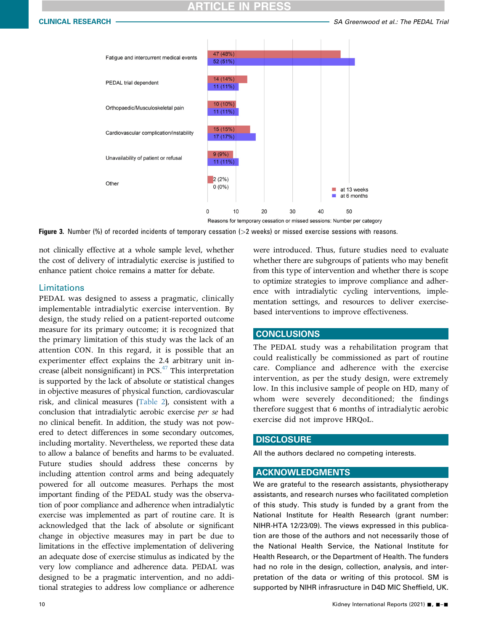<span id="page-9-0"></span>

Reasons for temporary cessation or missed sessions: Number per category

Figure 3. Number (%) of recorded incidents of temporary cessation (>2 weeks) or missed exercise sessions with reasons.

not clinically effective at a whole sample level, whether the cost of delivery of intradialytic exercise is justified to enhance patient choice remains a matter for debate.

## Limitations

PEDAL was designed to assess a pragmatic, clinically implementable intradialytic exercise intervention. By design, the study relied on a patient-reported outcome measure for its primary outcome; it is recognized that the primary limitation of this study was the lack of an attention CON. In this regard, it is possible that an experimenter effect explains the 2.4 arbitrary unit increase (albeit nonsignificant) in PCS.<sup>47</sup> This interpretation is supported by the lack of absolute or statistical changes in objective measures of physical function, cardiovascular risk, and clinical measures [\(Table 2](#page-6-0)), consistent with a conclusion that intradialytic aerobic exercise per se had no clinical benefit. In addition, the study was not powered to detect differences in some secondary outcomes, including mortality. Nevertheless, we reported these data to allow a balance of benefits and harms to be evaluated. Future studies should address these concerns by including attention control arms and being adequately powered for all outcome measures. Perhaps the most important finding of the PEDAL study was the observation of poor compliance and adherence when intradialytic exercise was implemented as part of routine care. It is acknowledged that the lack of absolute or significant change in objective measures may in part be due to limitations in the effective implementation of delivering an adequate dose of exercise stimulus as indicated by the very low compliance and adherence data. PEDAL was designed to be a pragmatic intervention, and no additional strategies to address low compliance or adherence

were introduced. Thus, future studies need to evaluate whether there are subgroups of patients who may benefit from this type of intervention and whether there is scope to optimize strategies to improve compliance and adherence with intradialytic cycling interventions, implementation settings, and resources to deliver exercisebased interventions to improve effectiveness.

## **CONCLUSIONS**

The PEDAL study was a rehabilitation program that could realistically be commissioned as part of routine care. Compliance and adherence with the exercise intervention, as per the study design, were extremely low. In this inclusive sample of people on HD, many of whom were severely deconditioned; the findings therefore suggest that 6 months of intradialytic aerobic exercise did not improve HRQoL.

## **DISCLOSURE**

All the authors declared no competing interests.

### ACKNOWLEDGMENTS

We are grateful to the research assistants, physiotherapy assistants, and research nurses who facilitated completion of this study. This study is funded by a grant from the National Institute for Health Research (grant number: NIHR-HTA 12/23/09). The views expressed in this publication are those of the authors and not necessarily those of the National Health Service, the National Institute for Health Research, or the Department of Health. The funders had no role in the design, collection, analysis, and interpretation of the data or writing of this protocol. SM is supported by NIHR infrasructure in D4D MIC Sheffield, UK.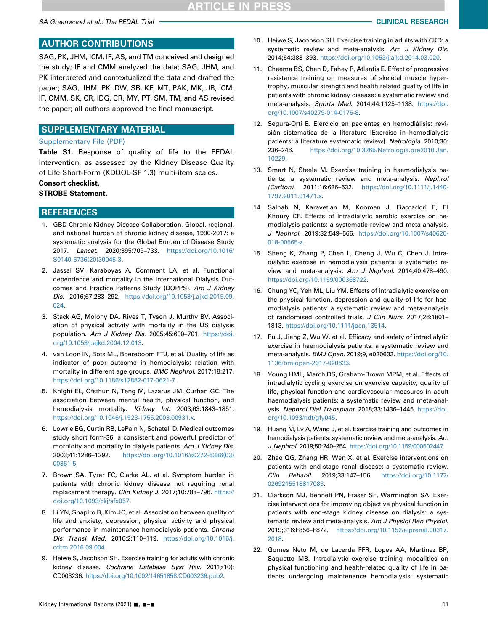SA Greenwood et al.: The PEDAL Trial CLINICAL RESEARCH

## AUTHOR CONTRIBUTIONS

SAG, PK, JHM, ICM, IF, AS, and TM conceived and designed the study; IF and CMM analyzed the data; SAG, JHM, and PK interpreted and contextualized the data and drafted the paper; SAG, JHM, PK, DW, SB, KF, MT, PAK, MK, JB, ICM, IF, CMM, SK, CR, IDG, CR, MY, PT, SM, TM, and AS revised the paper; all authors approved the final manuscript.

## SUPPLEMENTARY MATERIAL

### [Supplementary File \(PDF\)](https://doi.org/10.1016/j.ekir.2021.05.034)

Table S1. Response of quality of life to the PEDAL intervention, as assessed by the Kidney Disease Quality of Life Short-Form (KDQOL-SF 1.3) multi-item scales.

## Consort checklist.

## STROBE Statement.

## **REFERENCES**

- <span id="page-10-0"></span>1. GBD Chronic Kidney Disease Collaboration. Global, regional, and national burden of chronic kidney disease, 1990-2017: a systematic analysis for the Global Burden of Disease Study 2017. Lancet. 2020;395:709–733. [https://doi.org/10.1016/](https://doi.org/10.1016/S0140-6736(20)30045-3) [S0140-6736\(20\)30045-3](https://doi.org/10.1016/S0140-6736(20)30045-3).
- <span id="page-10-1"></span>2. Jassal SV, Karaboyas A, Comment LA, et al. Functional dependence and mortality in the International Dialysis Outcomes and Practice Patterns Study (DOPPS). Am J Kidney Dis. 2016;67:283–292. [https://doi.org/10.1053/j.ajkd.2015.09.](https://doi.org/10.1053/j.ajkd.2015.09.024) [024.](https://doi.org/10.1053/j.ajkd.2015.09.024)
- <span id="page-10-2"></span>3. Stack AG, Molony DA, Rives T, Tyson J, Murthy BV. Association of physical activity with mortality in the US dialysis population. Am J Kidney Dis. 2005;45:690–701. [https://doi.](https://doi.org/10.1053/j.ajkd.2004.12.013) [org/10.1053/j.ajkd.2004.12.013.](https://doi.org/10.1053/j.ajkd.2004.12.013)
- <span id="page-10-3"></span>4. van Loon IN, Bots ML, Boereboom FTJ, et al. Quality of life as indicator of poor outcome in hemodialysis: relation with mortality in different age groups. BMC Nephrol. 2017;18:217. [https://doi.org/10.1186/s12882-017-0621-7.](https://doi.org/10.1186/s12882-017-0621-7)
- <span id="page-10-4"></span>5. Knight EL, Ofsthun N, Teng M, Lazarus JM, Curhan GC. The association between mental health, physical function, and hemodialysis mortality. Kidney Int. 2003;63:1843–1851. <https://doi.org/10.1046/j.1523-1755.2003.00931.x>.
- <span id="page-10-5"></span>6. Lowrie EG, Curtin RB, LePain N, Schatell D. Medical outcomes study short form-36: a consistent and powerful predictor of morbidity and mortality in dialysis patients. Am J Kidney Dis. 2003;41:1286–1292. [https://doi.org/10.1016/s0272-6386\(03\)](https://doi.org/10.1016/s0272-6386(03)00361-5) [00361-5](https://doi.org/10.1016/s0272-6386(03)00361-5).
- <span id="page-10-6"></span>7. Brown SA, Tyrer FC, Clarke AL, et al. Symptom burden in patients with chronic kidney disease not requiring renal replacement therapy. Clin Kidney J. 2017;10:788–796. [https://](https://doi.org/10.1093/ckj/sfx057) [doi.org/10.1093/ckj/sfx057](https://doi.org/10.1093/ckj/sfx057).
- <span id="page-10-7"></span>8. Li YN, Shapiro B, Kim JC, et al. Association between quality of life and anxiety, depression, physical activity and physical performance in maintenance hemodialysis patients. Chronic Dis Transl Med. 2016;2:110–119. [https://doi.org/10.1016/j.](https://doi.org/10.1016/j.cdtm.2016.09.004) [cdtm.2016.09.004](https://doi.org/10.1016/j.cdtm.2016.09.004).
- <span id="page-10-11"></span>9. Heiwe S, Jacobson SH. Exercise training for adults with chronic kidney disease. Cochrane Database Syst Rev. 2011;(10): CD003236. <https://doi.org/10.1002/14651858.CD003236.pub2>.
- <span id="page-10-8"></span>10. Heiwe S, Jacobson SH. Exercise training in adults with CKD: a systematic review and meta-analysis. Am J Kidney Dis. 2014;64:383–393. [https://doi.org/10.1053/j.ajkd.2014.03.020.](https://doi.org/10.1053/j.ajkd.2014.03.020)
- 11. Cheema BS, Chan D, Fahey P, Atlantis E. Effect of progressive resistance training on measures of skeletal muscle hypertrophy, muscular strength and health related quality of life in patients with chronic kidney disease: a systematic review and meta-analysis. Sports Med. 2014;44:1125–1138. [https://doi.](https://doi.org/10.1007/s40279-014-0176-8) [org/10.1007/s40279-014-0176-8](https://doi.org/10.1007/s40279-014-0176-8).
- <span id="page-10-9"></span>12. Segura-Ortí E. Ejercicio en pacientes en hemodiálisis: revisión sistemática de la literature [Exercise in hemodialysis patients: a literature systematic review]. Nefrologia. 2010;30: 236–246. [https://doi.org/10.3265/Nefrologia.pre2010.Jan.](https://doi.org/10.3265/Nefrologia.pre2010.Jan.10229) [10229.](https://doi.org/10.3265/Nefrologia.pre2010.Jan.10229)
- 13. Smart N, Steele M. Exercise training in haemodialysis patients: a systematic review and meta-analysis. Nephrol (Carlton). 2011;16:626–632. [https://doi.org/10.1111/j.1440-](https://doi.org/10.1111/j.1440-1797.2011.01471.x) [1797.2011.01471.x.](https://doi.org/10.1111/j.1440-1797.2011.01471.x)
- 14. Salhab N, Karavetian M, Kooman J, Fiaccadori E, El Khoury CF. Effects of intradialytic aerobic exercise on hemodialysis patients: a systematic review and meta-analysis. J Nephrol. 2019;32:549–566. [https://doi.org/10.1007/s40620-](https://doi.org/10.1007/s40620-018-00565-z) [018-00565-z.](https://doi.org/10.1007/s40620-018-00565-z)
- <span id="page-10-17"></span>15. Sheng K, Zhang P, Chen L, Cheng J, Wu C, Chen J. Intradialytic exercise in hemodialysis patients: a systematic review and meta-analysis. Am J Nephrol. 2014;40:478–490. <https://doi.org/10.1159/000368722>.
- <span id="page-10-12"></span>16. Chung YC, Yeh ML, Liu YM. Effects of intradialytic exercise on the physical function, depression and quality of life for haemodialysis patients: a systematic review and meta-analysis of randomised controlled trials. J Clin Nurs. 2017;26:1801– 1813. [https://doi.org/10.1111/jocn.13514.](https://doi.org/10.1111/jocn.13514)
- <span id="page-10-14"></span>17. Pu J, Jiang Z, Wu W, et al. Efficacy and safety of intradialytic exercise in haemodialysis patients: a systematic review and meta-analysis. BMJ Open. 2019;9, e020633. [https://doi.org/10.](https://doi.org/10.1136/bmjopen-2017-020633) [1136/bmjopen-2017-020633.](https://doi.org/10.1136/bmjopen-2017-020633)
- <span id="page-10-10"></span>18. Young HML, March DS, Graham-Brown MPM, et al. Effects of intradialytic cycling exercise on exercise capacity, quality of life, physical function and cardiovascular measures in adult haemodialysis patients: a systematic review and meta-analysis. Nephrol Dial Transplant. 2018;33:1436–1445. [https://doi.](https://doi.org/10.1093/ndt/gfy045) [org/10.1093/ndt/gfy045.](https://doi.org/10.1093/ndt/gfy045)
- <span id="page-10-16"></span>19. Huang M, Lv A, Wang J, et al. Exercise training and outcomes in hemodialysis patients: systematic review and meta-analysis. Am J Nephrol. 2019;50:240–254. <https://doi.org/10.1159/000502447>.
- <span id="page-10-15"></span>20. Zhao QG, Zhang HR, Wen X, et al. Exercise interventions on patients with end-stage renal disease: a systematic review. Clin Rehabil. 2019;33:147–156. [https://doi.org/10.1177/](https://doi.org/10.1177/0269215518817083) [0269215518817083](https://doi.org/10.1177/0269215518817083).
- <span id="page-10-13"></span>21. Clarkson MJ, Bennett PN, Fraser SF, Warmington SA. Exercise interventions for improving objective physical function in patients with end-stage kidney disease on dialysis: a systematic review and meta-analysis. Am J Physiol Ren Physiol. 2019;316:F856–F872. [https://doi.org/10.1152/ajprenal.00317.](https://doi.org/10.1152/ajprenal.00317.2018) [2018.](https://doi.org/10.1152/ajprenal.00317.2018)
- <span id="page-10-18"></span>22. Gomes Neto M, de Lacerda FFR, Lopes AA, Martinez BP, Saquetto MB. Intradialytic exercise training modalities on physical functioning and health-related quality of life in patients undergoing maintenance hemodialysis: systematic